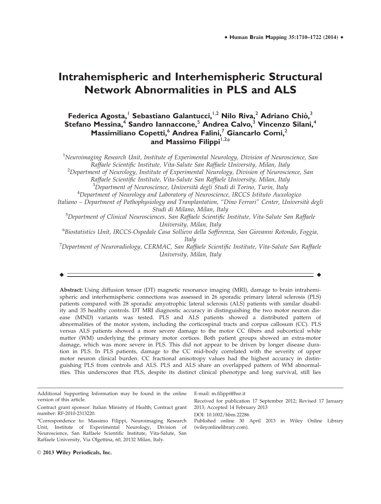# **Intrahemispheric and Interhemispheric Structural Network Abnormalities in PLS and ALS**

**Federica Agosta,**<sup>1</sup> **Sebastiano Galantucci,**1,2 **Nilo Riva,**<sup>2</sup> **Adriano Chio`,** 3 **Stefano Messina,**<sup>4</sup> **Sandro Iannaccone,**<sup>5</sup> **Andrea Calvo,**<sup>3</sup> **Vincenzo Silani,**<sup>4</sup> **Massimiliano Copetti,**<sup>6</sup> **Andrea Falini,**<sup>7</sup> **Giancarlo Comi,**<sup>2</sup> and Massimo Filippi<sup>1,2\*</sup>

<sup>1</sup>Neuroimaging Research Unit, Institute of Experimental Neurology, Division of Neuroscience, San Raffaele Scientific Institute, Vita-Salute San Raffaele University, Milan, Italy

<sup>2</sup>Department of Neurology, Institute of Experimental Neurology, Division of Neuroscience, San Raffaele Scientific Institute, Vita-Salute San Raffaele University, Milan, Italy

 $^{\rm 3}$ Department of Neuroscience, Università degli Studi di Torino, Turin, Italy

<sup>4</sup>Department of Neurology and Laboratory of Neuroscience, IRCCS Istituto Auxologico Italiano – Department of Pathophysiology and Tranplantation, ''Dino Ferrari'' Center, Universita` degli

Studi di Milano, Milan, Italy

<sup>5</sup>Department of Clinical Neurosciences, San Raffaele Scientific Institute, Vita-Salute San Raffaele University, Milan, Italy

6 Biostatistics Unit, IRCCS-Ospedale Casa Sollievo della Sofferenza, San Giovanni Rotondo, Foggia, Italy

 $^7$ Department of Neuroradiology, CERMAC, San Raffaele Scientific Institute, Vita-Salute San Raffaele University, Milan, Italy

r r

Abstract: Using diffusion tensor (DT) magnetic resonance imaging (MRI), damage to brain intrahemispheric and interhemispheric connections was assessed in 26 sporadic primary lateral sclerosis (PLS) patients compared with 28 sporadic amyotrophic lateral sclerosis (ALS) patients with similar disability and 35 healthy controls. DT MRI diagnostic accuracy in distinguishing the two motor neuron disease (MND) variants was tested. PLS and ALS patients showed a distributed pattern of abnormalities of the motor system, including the corticospinal tracts and corpus callosum (CC). PLS versus ALS patients showed a more severe damage to the motor CC fibers and subcortical white matter (WM) underlying the primary motor cortices. Both patient groups showed an extra-motor damage, which was more severe in PLS. This did not appear to be driven by longer disease duration in PLS. In PLS patients, damage to the CC mid-body correlated with the severity of upper motor neuron clinical burden. CC fractional anisotropy values had the highest accuracy in distinguishing PLS from controls and ALS. PLS and ALS share an overlapped pattern of WM abnormalities. This underscores that PLS, despite its distinct clinical phenotype and long survival, still lies

E-mail: m.filippi@hsr.it

Received for publication 17 September 2012; Revised 17 January 2013; Accepted 14 February 2013 DOI: 10.1002/hbm.22286 Published online 30 April 2013 in Wiley Online Library (wileyonlinelibrary.com).

Additional Supporting Information may be found in the online version of this article.

Contract grant sponsor: Italian Ministry of Health; Contract grant number: RF-2010-2313220.

<sup>\*</sup>Correspondence to: Massimo Filippi, Neuroimaging Research Unit, Institute of Experimental Neurology, Division of Neuroscience, San Raffaele Scientific Institute, Vita-Salute, San Raffaele University, Via Olgettina, 60, 20132 Milan, Italy.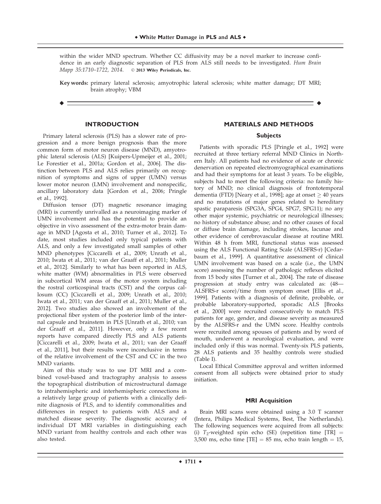within the wider MND spectrum. Whether CC diffusivity may be a novel marker to increase confidence in an early diagnostic separation of PLS from ALS still needs to be investigated. Hum Brain Mapp 35:1710-1722, 2014. © 2013 Wiley Periodicals, Inc.

Key words: primary lateral sclerosis; amyotrophic lateral sclerosis; white matter damage; DT MRI; brain atrophy; VBM

r r

# **INTRODUCTION**

Primary lateral sclerosis (PLS) has a slower rate of progression and a more benign prognosis than the more common form of motor neuron disease (MND), amyotrophic lateral sclerosis (ALS) [Kuipers-Upmeijer et al., 2001; Le Forestier et al., 2001a; Gordon et al., 2006]. The distinction between PLS and ALS relies primarily on recognition of symptoms and signs of upper (UMN) versus lower motor neuron (LMN) involvement and nonspecific, ancillary laboratory data [Gordon et al., 2006; Pringle et al., 1992].

Diffusion tensor (DT) magnetic resonance imaging (MRI) is currently unrivalled as a neuroimaging marker of UMN involvement and has the potential to provide an objective in vivo assessment of the extra-motor brain damage in MND [Agosta et al., 2010; Turner et al., 2012]. To date, most studies included only typical patients with ALS, and only a few investigated small samples of other MND phenotypes [Ciccarelli et al., 2009; Unrath et al., 2010; Iwata et al., 2011; van der Graaff et al., 2011; Muller et al., 2012]. Similarly to what has been reported in ALS, white matter (WM) abnormalities in PLS were observed in subcortical WM areas of the motor system including the rostral corticospinal tracts (CST) and the corpus callosum (CC) [Ciccarelli et al., 2009; Unrath et al., 2010; Iwata et al., 2011; van der Graaff et al., 2011; Muller et al., 2012]. Two studies also showed an involvement of the projectional fiber system of the posterior limb of the internal capsule and brainstem in PLS [Unrath et al., 2010; van der Graaff et al., 2011]. However, only a few recent reports have compared directly PLS and ALS patients [Ciccarelli et al., 2009; Iwata et al., 2011; van der Graaff et al., 2011], but their results were inconclusive in terms of the relative involvement of the CST and CC in the two MND variants.

Aim of this study was to use DT MRI and a combined voxel-based and tractography analysis to assess the topographical distribution of microstructural damage to intrahemispheric and interhemispheric connections in a relatively large group of patients with a clinically definite diagnosis of PLS, and to identify commonalities and differences in respect to patients with ALS and a matched disease severity. The diagnostic accuracy of individual DT MRI variables in distinguishing each MND variant from healthy controls and each other was also tested.

# **MATERIALS AND METHODS**

# **Subjects**

Patients with sporadic PLS [Pringle et al., 1992] were recruited at three tertiary referral MND Clinics in Northern Italy. All patients had no evidence of acute or chronic denervation on repeated electromyographical examinations and had their symptoms for at least 3 years. To be eligible, subjects had to meet the following criteria: no family history of MND; no clinical diagnosis of frontotemporal dementia (FTD) [Neary et al., 1998]; age at onset  $\geq 40$  years and no mutations of major genes related to hereditary spastic paraparesis (SPG3A, SPG4, SPG7, SPG11); no any other major systemic, psychiatric or neurological illnesses; no history of substance abuse; and no other causes of focal or diffuse brain damage, including strokes, lacunae and other evidence of cerebrovascular disease at routine MRI. Within 48 h from MRI, functional status was assessed using the ALS Functional Rating Scale (ALSFRS-r) [Cedarbaum et al., 1999]. A quantitative assessment of clinical UMN involvement was based on a scale (i.e., the UMN score) assessing the number of pathologic reflexes elicited from 15 body sites [Turner et al., 2004]. The rate of disease progression at study entry was calculated as: (48— ALSFRS-r score)/time from symptom onset [Ellis et al., 1999]. Patients with a diagnosis of definite, probable, or probable laboratory-supported, sporadic ALS [Brooks et al., 2000] were recruited consecutively to match PLS patients for age, gender, and disease severity as measured by the ALSFRS-r and the UMN score. Healthy controls were recruited among spouses of patients and by word of mouth, underwent a neurological evaluation, and were included only if this was normal. Twenty-six PLS patients, 28 ALS patients and 35 healthy controls were studied (Table I).

Local Ethical Committee approval and written informed consent from all subjects were obtained prior to study initiation.

#### **MRI Acquisition**

Brain MRI scans were obtained using a 3.0 T scanner (Intera, Philips Medical Systems, Best, The Netherlands). The following sequences were acquired from all subjects: (i)  $T_2$ -weighted spin echo (SE) (repetition time [TR] = 3,500 ms, echo time [TE] = 85 ms, echo train length = 15,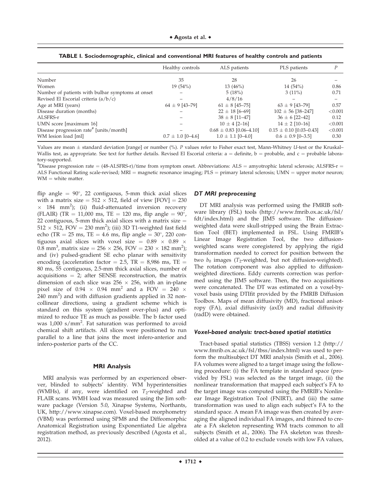|                                                     | Healthy controls      | ALS patients                | PLS patients                |         |
|-----------------------------------------------------|-----------------------|-----------------------------|-----------------------------|---------|
| Number                                              | 35                    | 28                          | 26                          |         |
| Women                                               | 19(54%)               | 13(46%)                     | 14 $(54%)$                  | 0.86    |
| Number of patients with bulbar symptoms at onset    |                       | 5(18%)                      | $3(11\%)$                   | 0.71    |
| Revised El Escorial criteria (a/b/c)                |                       | 4/8/16                      | -                           |         |
| Age at MRI (years)                                  | $64 \pm 9$ [43-79]    | $61 \pm 8$ [45-75]          | $63 \pm 9$ [43-79]          | 0.57    |
| Disease duration (months)                           |                       | $22 \pm 18$ [6-69]          | $102 \pm 56$ [38-247]       | < 0.001 |
| ALSFRS-r                                            |                       | $38 \pm 8$ [11-47]          | $36 \pm 6$ [22-42]          | 0.12    |
| UMN score [maximum 16]                              |                       | $10 \pm 4$ [2-16]           | $14 \pm 2$ [10-16]          | < 0.001 |
| Disease progression rate <sup>#</sup> [units/month] |                       | $0.68 \pm 0.83$ [0.06-4.10] | $0.15 \pm 0.10$ [0.03-0.43] | < 0.001 |
| WM lesion load [ml]                                 | $0.7 \pm 1.0$ [0-4.6] | $1.0 \pm 1.1$ [0-4.0]       | $0.6 \pm 0.9$ [0-3.5]       | 0.30    |

**TABLE I. Sociodemographic, clinical and conventional MRI features of healthy controls and patients**

Values are mean  $\pm$  standard deviation [range] or number (%). P values refer to Fisher exact test, Mann-Whitney U-test or the Kruskal– Wallis test, as appropriate. See text for further details. Revised El Escorial criteria:  $a =$  definite,  $b =$  probable, and  $c =$  probable laboratory-supported.

 $*$ Disease progression rate = (48-ALSFRS-r)/time from symptom onset. Abbreviations: ALS = amyotrophic lateral sclerosis; ALSFRS-r = ALS Functional Rating scale-revised; MRI = magnetic resonance imaging;  $PLS =$  primary lateral sclerosis; UMN = upper motor neuron;  $WM = white$  matter.

flip angle  $= 90^{\circ}$ , 22 contiguous, 5-mm thick axial slices with a matrix size =  $512 \times 512$ , field of view [FOV] = 230  $\times$  184 mm<sup>2</sup>); (ii) fluid-attenuated inversion recovery (FLAIR) (TR = 11,000 ms, TE = 120 ms, flip angle =  $90^{\circ}$ , 22 contiguous, 5-mm thick axial slices with a matrix size  $=$  $512 \times 512$ , FOV = 230 mm<sup>2</sup>); (iii) 3D T1-weighted fast field echo (TR =  $25 \text{ ms}$ , TE =  $4.6 \text{ ms}$ , flip angle =  $30^{\circ}$ , 220 contiguous axial slices with voxel size =  $0.89 \times 0.89 \times$ 0.8 mm<sup>3</sup>, matrix size =  $256 \times 256$ , FOV =  $230 \times 182$  mm<sup>2</sup>); and (iv) pulsed-gradient SE echo planar with sensitivity encoding (acceleration factor = 2.5, TR = 8,986 ms, TE = 80 ms, 55 contiguous, 2.5-mm thick axial slices, number of acquisitions  $= 2$ ; after SENSE reconstruction, the matrix dimension of each slice was  $256 \times 256$ , with an in-plane pixel size of 0.94  $\times$  0.94 mm<sup>2</sup> and a FOV = 240  $\times$  $240$  mm<sup>2</sup>) and with diffusion gradients applied in 32 noncollinear directions, using a gradient scheme which is standard on this system (gradient over-plus) and optimized to reduce TE as much as possible. The b factor used was 1,000 s/mm<sup>2</sup>. Fat saturation was performed to avoid chemical shift artifacts. All slices were positioned to run parallel to a line that joins the most infero-anterior and infero-posterior parts of the CC.

# **MRI Analysis**

MRI analysis was performed by an experienced observer, blinded to subjects' identity. WM hyperintensities (WMHs), if any, were identified on  $T_2$ -weighted and FLAIR scans. WMH load was measured using the Jim software package (Version 5.0, Xinapse Systems, Northants, UK, http://www.xinapse.com). Voxel-based morphometry (VBM) was performed using SPM8 and the Diffeomorphic Anatomical Registration using Exponentiated Lie algebra registration method, as previously described (Agosta et al., 2012).

# DT MRI preprocessing

DT MRI analysis was performed using the FMRIB software library (FSL) tools (http://www.fmrib.ox.ac.uk/fsl/ fdt/index.html) and the JIM5 software. The diffusionweighted data were skull-stripped using the Brain Extraction Tool (BET) implemented in FSL. Using FMRIB's Linear Image Registration Tool, the two diffusionweighted scans were coregistered by applying the rigid transformation needed to correct for position between the two  $b_0$  images (T<sub>2</sub>-weighted, but not diffusion-weighted). The rotation component was also applied to diffusionweighted directions. Eddy currents correction was performed using the JIM5 software. Then, the two acquisitions were concatenated. The DT was estimated on a voxel-byvoxel basis using DTIfit provided by the FMRIB Diffusion Toolbox. Maps of mean diffusivity (MD), fractional anisotropy (FA), axial diffusivity (axD) and radial diffusivity (radD) were obtained.

## Voxel-based analysis: tract-based spatial statistics

Tract-based spatial statistics (TBSS) version 1.2 (http:// www.fmrib.ox.ac.uk/fsl/tbss/index.html) was used to perform the multisubject DT MRI analysis (Smith et al., 2006). FA volumes were aligned to a target image using the following procedure: (i) the FA template in standard space (provided by FSL) was selected as the target image, (ii) the nonlinear transformation that mapped each subject's FA to the target image was computed using the FMRIB's Nonlinear Image Registration Tool (FNIRT), and (iii) the same transformation was used to align each subject's FA to the standard space. A mean FA image was then created by averaging the aligned individual FA images, and thinned to create a FA skeleton representing WM tracts common to all subjects (Smith et al., 2006). The FA skeleton was thresholded at a value of 0.2 to exclude voxels with low FA values,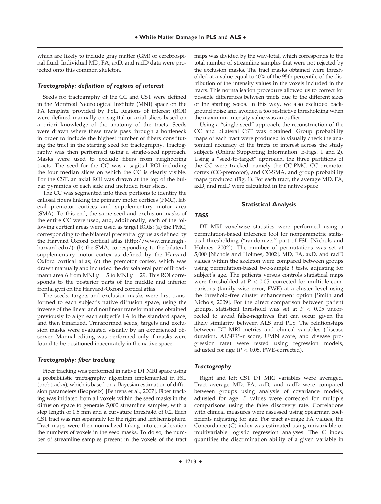which are likely to include gray matter (GM) or cerebrospinal fluid. Individual MD, FA, axD, and radD data were projected onto this common skeleton.

#### Tractography: definition of regions of interest

Seeds for tractography of the CC and CST were defined in the Montreal Neurological Institute (MNI) space on the FA template provided by FSL. Regions of interest (ROI) were defined manually on sagittal or axial slices based on a priori knowledge of the anatomy of the tracts. Seeds were drawn where these tracts pass through a bottleneck in order to include the highest number of fibers constituting the tract in the starting seed for tractography. Tractography was then performed using a single-seed approach. Masks were used to exclude fibers from neighboring tracts. The seed for the CC was a sagittal ROI including the four median slices on which the CC is clearly visible. For the CST, an axial ROI was drawn at the top of the bulbar pyramids of each side and included four slices.

The CC was segmented into three portions to identify the callosal fibers linking the primary motor cortices (PMC), lateral premotor cortices and supplementary motor area (SMA). To this end, the same seed and exclusion masks of the entire CC were used, and, additionally, each of the following cortical areas were used as target ROIs: (a) the PMC, corresponding to the bilateral precentral gyrus as defined by the Harvard Oxford cortical atlas (http://www.cma.mgh. harvard.edu/); (b) the SMA, corresponding to the bilateral supplementary motor cortex as defined by the Harvard Oxford cortical atlas; (c) the premotor cortex, which was drawn manually and included the dorsolateral part of Broadmann area 6 from MNI  $y = 5$  to MNI  $y = 29$ . This ROI corresponds to the posterior parts of the middle and inferior frontal gyri on the Harvard-Oxford cortical atlas.

The seeds, targets and exclusion masks were first transformed to each subject's native diffusion space, using the inverse of the linear and nonlinear transformations obtained previously to align each subject's FA to the standard space, and then binarized. Transformed seeds, targets and exclusion masks were evaluated visually by an experienced observer. Manual editing was performed only if masks were found to be positioned inaccurately in the native space.

# Tractography: fiber tracking

Fiber tracking was performed in native DT MRI space using a probabilistic tractography algorithm implemented in FSL (probtrackx), which is based on a Bayesian estimation of diffusion parameters (Bedpostx) [Behrens et al., 2007]. Fiber tracking was initiated from all voxels within the seed masks in the diffusion space to generate 5,000 streamline samples, with a step length of 0.5 mm and a curvature threshold of 0.2. Each CST tract was run separately for the right and left hemisphere. Tract maps were then normalized taking into consideration the numbers of voxels in the seed masks. To do so, the number of streamline samples present in the voxels of the tract

maps was divided by the way-total, which corresponds to the total number of streamline samples that were not rejected by the exclusion masks. The tract masks obtained were thresholded at a value equal to 40% of the 95th percentile of the distribution of the intensity values in the voxels included in the tracts. This normalisation procedure allowed us to correct for possible differences between tracts due to the different sizes of the starting seeds. In this way, we also excluded background noise and avoided a too restrictive thresholding when the maximum intensity value was an outlier.

Using a ''single-seed'' approach, the reconstruction of the CC and bilateral CST was obtained. Group probability maps of each tract were produced to visually check the anatomical accuracy of the tracts of interest across the study subjects (Online Supporting Information. E-Figs. 1 and 2). Using a ''seed-to-target'' approach, the three partitions of the CC were tracked, namely the CC-PMC, CC-premotor cortex (CC-premotor), and CC-SMA, and group probability maps produced (Fig. 1). For each tract, the average MD, FA, axD, and radD were calculated in the native space.

#### **Statistical Analysis**

#### **TBSS**

DT MRI voxelwise statistics were performed using a permutation-based inference tool for nonparametric statistical thresholding ("randomize," part of FSL [Nichols and Holmes, 2002]). The number of permutations was set at 5,000 [Nichols and Holmes, 2002]. MD, FA, axD, and radD values within the skeleton were compared between groups using permutation-based two-sample  $t$  tests, adjusting for subject's age. The patients versus controls statistical maps were thresholded at  $P < 0.05$ , corrected for multiple comparisons (family wise error, FWE) at a cluster level using the threshold-free cluster enhancement option [Smith and Nichols, 2009]. For the direct comparison between patient groups, statistical threshold was set at  $P < 0.05$  uncorrected to avoid false-negatives that can occur given the likely similarity between ALS and PLS. The relationships between DT MRI metrics and clinical variables (disease duration, ALSFRS-r score, UMN score, and disease progression rate) were tested using regression models, adjusted for age ( $P < 0.05$ , FWE-corrected).

# **Tractography**

Right and left CST DT MRI variables were averaged. Tract average MD, FA, axD, and radD were compared between groups using analysis of covariance models, adjusted for age.  $P$  values were corrected for multiple comparisons using the false discovery rate. Correlations with clinical measures were assessed using Spearman coefficients adjusting for age. For tract average FA values, the Concordance (C) index was estimated using univariable or multivariable logistic regression analyses. The C index quantifies the discrimination ability of a given variable in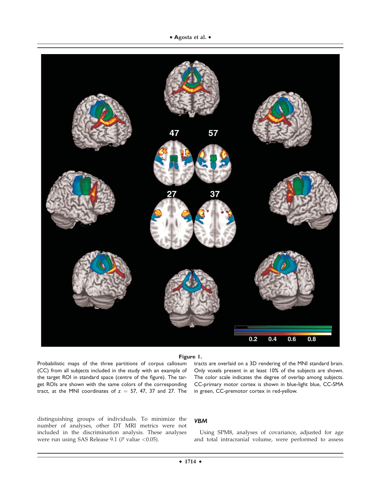# ◆ Agosta et al. ◆



#### **Figure 1.**

Probabilistic maps of the three partitions of corpus callosum (CC) from all subjects included in the study with an example of the target ROI in standard space (centre of the figure). The target ROIs are shown with the same colors of the corresponding tract, at the MNI coordinates of  $z = 57, 47, 37$  and 27. The tracts are overlaid on a 3D rendering of the MNI standard brain. Only voxels present in at least 10% of the subjects are shown. The color scale indicates the degree of overlap among subjects. CC-primary motor cortex is shown in blue-light blue, CC-SMA in green, CC-premotor cortex in red-yellow.

distinguishing groups of individuals. To minimize the number of analyses, other DT MRI metrics were not included in the discrimination analysis. These analyses were run using SAS Release 9.1 ( $P$  value <0.05).

# VBM

Using SPM8, analyses of covariance, adjusted for age and total intracranial volume, were performed to assess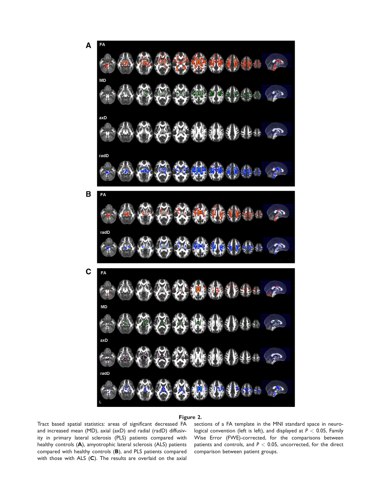

#### **Figure 2.**

Tract based spatial statistics: areas of significant decreased FA and increased mean (MD), axial (axD) and radial (radD) diffusivity in primary lateral sclerosis (PLS) patients compared with healthy controls (**A**), amyotrophic lateral sclerosis (ALS) patients compared with healthy controls (**B**), and PLS patients compared with those with ALS (**C**). The results are overlaid on the axial

sections of a FA template in the MNI standard space in neurological convention (left is left), and displayed at *P* < 0.05, Family Wise Error (FWE)-corrected, for the comparisons between patients and controls, and *P* < 0.05, uncorrected, for the direct comparison between patient groups.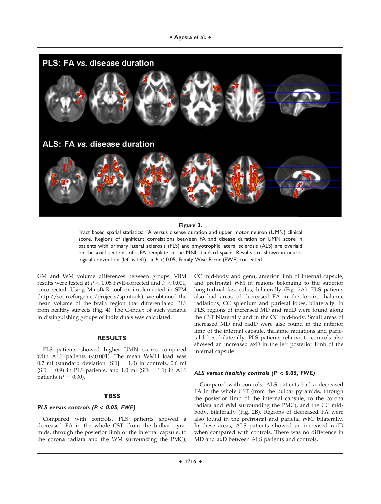

#### **Figure 3.**

Tract based spatial statistics: FA versus disease duration and upper motor neuron (UMN) clinical score. Regions of significant correlations between FA and disease duration or UMN score in patients with primary lateral sclerosis (PLS) and amyotrophic lateral sclerosis (ALS) are overlaid on the axial sections of a FA template in the MNI standard space. Results are shown in neurological convention (left is left), at *P* < 0.05, Family Wise Error (FWE)-corrected.

GM and WM volume differences between groups. VBM results were tested at  $P < 0.05$  FWE-corrected and  $P < 0.001$ , uncorrected. Using MarsBaR toolbox implemented in SPM (http://sourceforge.net/projects/spmtools), we obtained the mean volume of the brain region that differentiated PLS from healthy subjects (Fig. 4). The C-index of such variable in distinguishing groups of individuals was calculated.

#### **RESULTS**

PLS patients showed higher UMN scores compared with ALS patients  $(<0.001$ ). The mean WMH load was 0.7 ml (standard deviation  $[SD] = 1.0$ ) in controls, 0.6 ml  $(SD = 0.9)$  in PLS patients, and 1.0 ml  $(SD = 1.1)$  in ALS patients ( $P = 0.30$ ).

## **TBSS**

# PLS versus controls  $(P < 0.05, FWE)$

Compared with controls, PLS patients showed a decreased FA in the whole CST (from the bulbar pyramids, through the posterior limb of the internal capsule, to the corona radiata and the WM surrounding the PMC), CC mid-body and genu, anterior limb of internal capsule, and prefrontal WM in regions belonging to the superior longitudinal fasciculus, bilaterally (Fig. 2A). PLS patients also had areas of decreased FA in the fornix, thalamic radiations, CC splenium and parietal lobes, bilaterally. In PLS, regions of increased MD and radD were found along the CST bilaterally and in the CC mid-body. Small areas of increased MD and radD were also found in the anterior limb of the internal capsule, thalamic radiations and parietal lobes, bilaterally. PLS patients relative to controls also showed an increased axD in the left posterior limb of the internal capsule.

# ALS versus healthy controls  $(P < 0.05, FWE)$

Compared with controls, ALS patients had a decreased FA in the whole CST (from the bulbar pyramids, through the posterior limb of the internal capsule, to the corona radiata and WM surrounding the PMC), and the CC midbody, bilaterally (Fig. 2B). Regions of decreased FA were also found in the prefrontal and parietal WM, bilaterally. In these areas, ALS patients showed an increased radD when compared with controls. There was no difference in MD and axD between ALS patients and controls.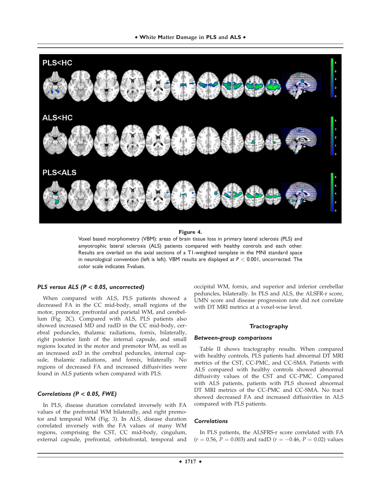

**Figure 4.**

Voxel based morphometry (VBM): areas of brain tissue loss in primary lateral sclerosis (PLS) and amyotrophic lateral sclerosis (ALS) patients compared with healthy controls and each other. Results are overlaid on the axial sections of a T1-weighted template in the MNI standard space in neurological convention (left is left). VBM results are displayed at *P* < 0.001, uncorrected. The color scale indicates *T*-values.

## PLS versus ALS (P < 0.05, uncorrected)

When compared with ALS, PLS patients showed a decreased FA in the CC mid-body, small regions of the motor, premotor, prefrontal and parietal WM, and cerebellum (Fig. 2C). Compared with ALS, PLS patients also showed increased MD and radD in the CC mid-body, cerebral peduncles, thalamic radiations, fornix, bilaterally, right posterior limb of the internal capsule, and small regions located in the motor and premotor WM, as well as an increased axD in the cerebral peduncles, internal capsule, thalamic radiations, and fornix, bilaterally. No regions of decreased FA and increased diffusivities were found in ALS patients when compared with PLS.

# Correlations ( $P < 0.05$ , FWE)

In PLS, disease duration correlated inversely with FA values of the prefrontal WM bilaterally, and right premotor and temporal WM (Fig. 3). In ALS, disease duration correlated inversely with the FA values of many WM regions, comprising the CST, CC mid-body, cingulum, external capsule, prefrontal, orbitofrontal, temporal and

occipital WM, fornix, and superior and inferior cerebellar peduncles, bilaterally. In PLS and ALS, the ALSFR-r score, UMN score and disease progression rate did not correlate with DT MRI metrics at a voxel-wise level.

# **Tractography**

#### Between-group comparisons

Table II shows tractography results. When compared with healthy controls, PLS patients had abnormal DT MRI metrics of the CST, CC-PMC, and CC-SMA. Patients with ALS compared with healthy controls showed abnormal diffusivity values of the CST and CC-PMC. Compared with ALS patients, patients with PLS showed abnormal DT MRI metrics of the CC-PMC and CC-SMA. No tract showed decreased FA and increased diffusivities in ALS compared with PLS patients.

#### **Correlations**

In PLS patients, the ALSFRS-r score correlated with FA  $(r = 0.56, P = 0.003)$  and radD  $(r = -0.46, P = 0.02)$  values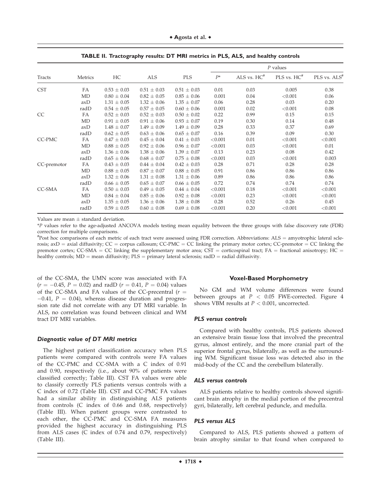|             | Metrics | HC              | <b>ALS</b>      | <b>PLS</b>      | $P$ values |                |                |                            |
|-------------|---------|-----------------|-----------------|-----------------|------------|----------------|----------------|----------------------------|
| Tracts      |         |                 |                 |                 | $P^*$      | ALS vs. $HC^*$ | PLS vs. $HC^*$ | PLS vs. $ALS$ <sup>#</sup> |
| <b>CST</b>  | FA      | $0.53 \pm 0.03$ | $0.51 \pm 0.03$ | $0.51 \pm 0.03$ | 0.01       | 0.03           | 0.005          | 0.38                       |
|             | MD      | $0.80 \pm 0.04$ | $0.82 \pm 0.05$ | $0.85 \pm 0.06$ | 0.001      | 0.04           | < 0.001        | 0.06                       |
|             | axD     | $1.31 \pm 0.05$ | $1.32 \pm 0.06$ | $1.35 \pm 0.07$ | 0.06       | 0.28           | 0.03           | 0.20                       |
|             | radD    | $0.54 \pm 0.05$ | $0.57 \pm 0.05$ | $0.60 \pm 0.06$ | 0.001      | 0.02           | < 0.001        | 0.08                       |
| CC          | FA      | $0.52 \pm 0.03$ | $0.52 \pm 0.03$ | $0.50 \pm 0.02$ | 0.22       | 0.99           | 0.15           | 0.15                       |
|             | MD      | $0.91 \pm 0.05$ | $0.91 \pm 0.06$ | $0.93 \pm 0.07$ | 0.19       | 0.30           | 0.14           | 0.48                       |
|             | axD     | $1.48 \pm 0.07$ | $1.49 \pm 0.09$ | $1.49 \pm 0.09$ | 0.28       | 0.33           | 0.37           | 0.69                       |
|             | radD    | $0.62 \pm 0.05$ | $0.63 \pm 0.06$ | $0.65 \pm 0.07$ | 0.16       | 0.39           | 0.09           | 0.30                       |
| CC-PMC      | FA      | $0.47 \pm 0.03$ | $0.45 \pm 0.04$ | $0.41 \pm 0.03$ | < 0.001    | 0.01           | < 0.001        | < 0.001                    |
|             | MD      | $0.88 \pm 0.05$ | $0.92 \pm 0.06$ | $0.96 \pm 0.07$ | < 0.001    | 0.03           | < 0.001        | 0.01                       |
|             | axD     | $1.36 \pm 0.06$ | $1.38 \pm 0.06$ | $1.39 \pm 0.07$ | 0.13       | 0.23           | 0.08           | 0.42                       |
|             | radD    | $0.65 \pm 0.06$ | $0.68 \pm 0.07$ | $0.75 \pm 0.08$ | < 0.001    | 0.03           | < 0.001        | 0.003                      |
| CC-premotor | FA      | $0.43 \pm 0.03$ | $0.44 \pm 0.04$ | $0.42 \pm 0.03$ | 0.28       | 0.71           | 0.28           | 0.28                       |
|             | MD      | $0.88 \pm 0.05$ | $0.87 \pm 0.07$ | $0.88 \pm 0.05$ | 0.91       | 0.86           | 0.86           | 0.86                       |
|             | axD     | $1.32 \pm 0.06$ | $1.31 \pm 0.08$ | $1.31 \pm 0.06$ | 0.89       | 0.86           | 0.86           | 0.86                       |
|             | radD    | $0.66 \pm 0.05$ | $0.65 \pm 0.07$ | $0.66 \pm 0.05$ | 0.72       | 0.74           | 0.74           | 0.74                       |
| CC-SMA      | FA      | $0.50 \pm 0.03$ | $0.49 \pm 0.05$ | $0.44 \pm 0.04$ | < 0.001    | 0.18           | < 0.001        | < 0.001                    |
|             | MD      | $0.84 \pm 0.04$ | $0.85 \pm 0.06$ | $0.92 \pm 0.08$ | < 0.001    | 0.23           | < 0.001        | < 0.001                    |
|             | axD     | $1.35 \pm 0.05$ | $1.36 \pm 0.06$ | $1.38 \pm 0.08$ | 0.28       | 0.52           | 0.26           | 0.45                       |
|             | radD    | $0.59 \pm 0.05$ | $0.60 \pm 0.08$ | $0.69 \pm 0.08$ | < 0.001    | 0.20           | < 0.001        | < 0.001                    |

**TABLE II. Tractography results: DT MRI metrics in PLS, ALS, and healthy controls**

Values are mean  $\pm$  standard deviation.

\*P values refer to the age-adjusted ANCOVA models testing mean equality between the three groups with false discovery rate (FDR) correction for multiple comparisons.

#Post hoc comparisons of each metric of each tract were assessed using FDR correction. Abbreviations: ALS = amyotrophic lateral sclerosis;  $axD = axial diffusivity$ ;  $CC = corpus$  callosum;  $CC-PMC = CC$  linking the primary motor cortex;  $CC-premotor = CC$  linking the premotor cortex; CC-SMA = CC linking the supplementary motor area; CST = corticospinal tract; FA = fractional anisotropy; HC = healthy controls;  $MD =$  mean diffusivity;  $PLS =$  primary lateral sclerosis; rad $D =$  radial diffusivity.

of the CC-SMA, the UMN score was associated with FA  $(r = -0.45, P = 0.02)$  and radD  $(r = 0.41, P = 0.04)$  values of the CC-SMA and FA values of the CC-precentral ( $r =$  $-0.41$ ,  $P = 0.04$ ), whereas disease duration and progression rate did not correlate with any DT MRI variable. In ALS, no correlation was found between clinical and WM tract DT MRI variables.

# Diagnostic value of DT MRI metrics

The highest patient classification accuracy when PLS patients were compared with controls were FA values of the CC-PMC and CC-SMA with a C index of 0.91 and 0.90, respectively (i.e., about 90% of patients were classified correctly; Table III). CST FA values were able to classify correctly PLS patients versus controls with a C index of 0.72 (Table III). CST and CC-PMC FA values had a similar ability in distinguishing ALS patients from controls (C index of 0.66 and 0.68, respectively) (Table III). When patient groups were contrasted to each other, the CC-PMC and CC-SMA FA measures provided the highest accuracy in distinguishing PLS from ALS cases (C index of 0.74 and 0.79, respectively) (Table III).

#### **Voxel-Based Morphometry**

No GM and WM volume differences were found between groups at  $P < 0.05$  FWE-corrected. Figure 4 shows VBM results at  $P < 0.001$ , uncorrected.

## PLS versus controls

Compared with healthy controls, PLS patients showed an extensive brain tissue loss that involved the precentral gyrus, almost entirely, and the more cranial part of the superior frontal gyrus, bilaterally, as well as the surrounding WM. Significant tissue loss was detected also in the mid-body of the CC and the cerebellum bilaterally.

# ALS versus controls

ALS patients relative to healthy controls showed significant brain atrophy in the medial portion of the precentral gyri, bilaterally, left cerebral peduncle, and medulla.

## PLS versus ALS

Compared to ALS, PLS patients showed a pattern of brain atrophy similar to that found when compared to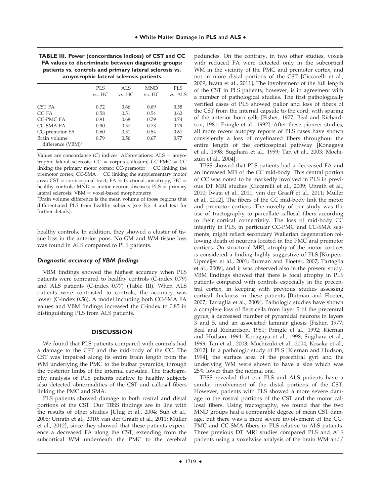| <b>TABLE III. Power (concordance indices) of CST and CC</b> |
|-------------------------------------------------------------|
| FA values to discriminate between diagnostic groups:        |
| patients vs. controls and primary lateral sclerosis vs.     |
| amyotrophic lateral sclerosis patients                      |

|                                               | PLS.<br>vs. HC | ALS<br>vs. HC | <b>MND</b><br>vs. HC | PL S<br>vs. ALS |
|-----------------------------------------------|----------------|---------------|----------------------|-----------------|
| CST FA                                        | 0.72           | 0.66          | 0.69                 | 0.58            |
| CC FA                                         | 0.58           | 0.51          | 0.54                 | 0.62            |
| CC-PMC FA                                     | 0.91           | 0.68          | 0.79                 | 0.74            |
| CC-SMA FA                                     | 0.90           | 0.57          | 0.73                 | 0.79            |
| CC-premotor FA                                | 0.60           | 0.51          | 0.54                 | 0.61            |
| Brain volume<br>difference (VBM) <sup>a</sup> | 0.79           | 0.56          | 0.67                 | 0.77            |

Values are concordance  $(C)$  indices. Abbreviations:  $ALS = amyo$ trophic lateral sclerosis;  $CC =$  corpus callosum;  $CC-PMC = CC$ linking the primary motor cortex;  $CC$ -premotor  $= CC$  linking the premotor cortex;  $CC-SMA = CC$  linking the supplementary motor area; CST = corticospinal tract; FA = fractional anisotropy; HC = healthy controls;  $MND = motor$  neuron diseases;  $PLS = primary$ lateral sclerosis;  $VBM = voxel-based morphology$ .

Brain volume difference is the mean volume of those regions that differentiated PLS from healthy subjects (see Fig. 4 and text for further details).

healthy controls. In addition, they showed a cluster of tissue loss in the anterior pons. No GM and WM tissue loss was found in ALS compared to PLS patients.

## Diagnostic accuracy of VBM findings

VBM findings showed the highest accuracy when PLS patients were compared to healthy controls (C-index 0.79) and ALS patients (C-index 0.77) (Table III). When ALS patients were contrasted to controls, the accuracy was lower (C-index 0.56). A model including both CC-SMA FA values and VBM findings increased the C-index to 0.85 in distinguishing PLS from ALS patients.

#### **DISCUSSION**

We found that PLS patients compared with controls had a damage to the CST and the mid-body of the CC. The CST was impaired along its entire brain length from the WM underlying the PMC to the bulbar pyramids, through the posterior limbs of the internal capsulae. The tractography analysis of PLS patients relative to healthy subjects also detected abnormalities of the CST and callosal fibers linking the PMC and SMA.

PLS patients showed damage to both rostral and distal portions of the CST. Our TBSS findings are in line with the results of other studies [Ulug et al., 2004; Suh et al., 2006; Unrath et al., 2010; van der Graaff et al., 2011; Muller et al., 2012], since they showed that these patients experience a decreased FA along the CST, extending from the subcortical WM underneath the PMC to the cerebral

peduncles. On the contrary, in two other studies, voxels with reduced FA were detected only in the subcortical WM in the vicinity of the PMC and premotor cortex, and not in more distal portions of the CST [Ciccarelli et al., 2009; Iwata et al., 2011]. The involvement of the full length of the CST in PLS patients, however, is in agreement with a number of pathological studies. The first pathologically verified cases of PLS showed pallor and loss of fibers of the CST from the internal capsule to the cord, with sparing of the anterior horn cells [Fisher, 1977; Beal and Richardson, 1981; Pringle et al., 1992]. After these pioneer studies, all more recent autopsy reports of PLS cases have shown consistently a loss of myelinated fibers throughout the entire length of the corticospinal pathway [Konagaya et al., 1998; Sugihara et al., 1999; Tan et al., 2003; Mochizuki et al., 2004].

TBSS showed that PLS patients had a decreased FA and an increased MD of the CC mid-body. This central portion of CC was noted to be markedly involved in PLS in previous DT MRI studies [Ciccarelli et al., 2009; Unrath et al., 2010; Iwata et al., 2011; van der Graaff et al., 2011; Muller et al., 2012]. The fibers of the CC mid-body link the motor and premotor cortices. The novelty of our study was the use of tractography to parcellate callosal fibers according to their cortical connectivity. The loss of mid-body CC integrity in PLS, in particular CC-PMC and CC-SMA segments, might reflect secondary Wallerian degeneration following death of neurons located in the PMC and premotor cortices. On structural MRI, atrophy of the motor cortices is considered a finding highly suggestive of PLS [Kuipers-Upmeijer et al., 2001; Butman and Floeter, 2007; Tartaglia et al., 2009], and it was observed also in the present study. VBM findings showed that there is focal atrophy in PLS patients compared with controls especially in the precentral cortex, in keeping with previous studies assessing cortical thickness in these patients [Butman and Floeter, 2007; Tartaglia et al., 2009]. Pathologic studies have shown a complete loss of Betz cells from layer 5 of the precentral gyrus, a decreased number of pyramidal neurons in layers 3 and 5, and an associated laminar gliosis [Fisher, 1977; Beal and Richardson, 1981; Pringle et al., 1992; Kiernan and Hudson, 1994; Konagaya et al., 1998; Sugihara et al., 1999; Tan et al., 2003; Mochizuki et al., 2004; Kosaka et al., 2012]. In a pathologic study of PLS [Kiernan and Hudson, 1994], the surface area of the precentral gyri and the underlying WM were shown to have a size which was 25% lower than the normal one.

TBSS revealed that our PLS and ALS patients have a similar involvement of the distal portions of the CST. However, patients with PLS showed a more severe damage to the rostral portions of the CST and the motor callosal fibers. Using tractography, we found that the two MND groups had a comparable degree of mean CST damage, but there was a more severe involvement of the CC-PMC and CC-SMA fibers in PLS relative to ALS patients. Three previous DT MRI studies compared PLS and ALS patients using a voxelwise analysis of the brain WM and/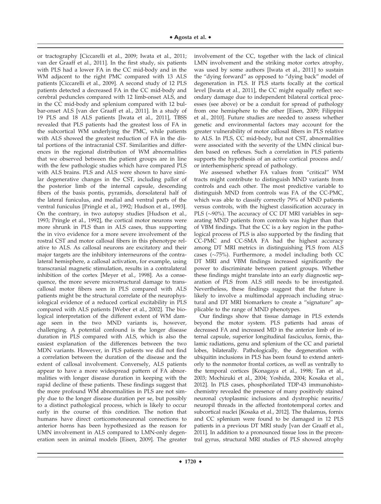or tractography [Ciccarelli et al., 2009; Iwata et al., 2011; van der Graaff et al., 2011]. In the first study, six patients with PLS had a lower FA in the CC mid-body and in the WM adjacent to the right PMC compared with 13 ALS patients [Ciccarelli et al., 2009]. A second study of 12 PLS patients detected a decreased FA in the CC mid-body and cerebral peduncles compared with 12 limb-onset ALS, and in the CC mid-body and splenium compared with 12 bulbar-onset ALS [van der Graaff et al., 2011]. In a study of 19 PLS and 18 ALS patients [Iwata et al., 2011], TBSS revealed that PLS patients had the greatest loss of FA in the subcortical WM underlying the PMC, while patients with ALS showed the greatest reduction of FA in the distal portions of the intracranial CST. Similarities and differences in the regional distribution of WM abnormalities that we observed between the patient groups are in line with the few pathologic studies which have compared PLS with ALS brains. PLS and ALS were shown to have similar degenerative changes in the CST, including pallor of the posterior limb of the internal capsule, descending fibers of the basis pontis, pyramids, dorsolateral half of the lateral funiculus, and medial and ventral parts of the ventral funiculus [Pringle et al., 1992; Hudson et al., 1993]. On the contrary, in two autopsy studies [Hudson et al., 1993; Pringle et al., 1992], the cortical motor neurons were more shrunk in PLS than in ALS cases, thus supporting the in vivo evidence for a more severe involvement of the rostral CST and motor callosal fibers in this phenotype relative to ALS. As callosal neurons are excitatory and their major targets are the inhibitory interneurons of the contralateral hemisphere, a callosal activation, for example, using transcranial magnetic stimulation, results in a contralateral inhibition of the cortex [Meyer et al., 1998]. As a consequence, the more severe microstructural damage to transcallosal motor fibers seen in PLS compared with ALS patients might be the structural correlate of the neurophysiological evidence of a reduced cortical excitability in PLS compared with ALS patients [Weber et al., 2002]. The biological interpretation of the different extent of WM damage seen in the two MND variants is, however, challenging. A potential confound is the longer disease duration in PLS compared with ALS, which is also the easiest explanation of the differences between the two MDN variants. However, in PLS patients we did not find a correlation between the duration of the disease and the extent of callosal involvement. Conversely, ALS patients appear to have a more widespread pattern of FA abnormalities with longer disease duration in keeping with the rapid decline of these patients. These findings suggest that the more profound WM abnormalities in PLS are not simply due to the longer disease duration per se, but possibly to a distinct pathological process, which is likely to occur early in the course of this condition. The notion that humans have direct corticomotoneuronal connections to anterior horns has been hypothesized as the reason for UMN involvement in ALS compared to LMN-only degeneration seen in animal models [Eisen, 2009]. The greater

involvement of the CC, together with the lack of clinical LMN involvement and the striking motor cortex atrophy, was used by some authors [Iwata et al., 2011] to sustain the ''dying forward'' as opposed to ''dying back'' model of degeneration in PLS. If PLS starts focally at the cortical level [Iwata et al., 2011], the CC might equally reflect secondary damage due to independent bilateral cortical processes (see above) or be a conduit for spread of pathology from one hemisphere to the other [Eisen, 2009; Filippini et al., 2010]. Future studies are needed to assess whether genetic and environmental factors may account for the greater vulnerability of motor callosal fibers in PLS relative to ALS. In PLS, CC mid-body, but not CST, abnormalities were associated with the severity of the UMN clinical burden based on reflexes. Such a correlation in PLS patients supports the hypothesis of an active cortical process and/ or interhemispheric spread of pathology.

We assessed whether FA values from "critical" WM tracts might contribute to distinguish MND variants from controls and each other. The most predictive variable to distinguish MND from controls was FA of the CC-PMC, which was able to classify correctly 79% of MND patients versus controls, with the highest classification accuracy in PLS ( $\sim$ 90%). The accuracy of CC DT MRI variables in separating MND patients from controls was higher than that of VBM findings. That the CC is a key region in the pathological process of PLS is also supported by the finding that CC-PMC and CC-SMA FA had the highest accuracy among DT MRI metrics in distinguishing PLS from ALS cases ( $\sim$ 75%). Furthermore, a model including both CC DT MRI and VBM findings increased significantly the power to discriminate between patient groups. Whether these findings might translate into an early diagnostic separation of PLS from ALS still needs to be investigated. Nevertheless, these findings suggest that the future is likely to involve a multimodal approach including structural and DT MRI biomarkers to create a "signature" applicable to the range of MND phenotypes.

Our findings show that tissue damage in PLS extends beyond the motor system. PLS patients had areas of decreased FA and increased MD in the anterior limb of internal capsule, superior longitudinal fasciculus, fornix, thalamic radiations, genu and splenium of the CC and parietal lobes, bilaterally. Pathologically, the degeneration with ubiquitin inclusions in PLS has been found to extend anteriorly to the nonmotor frontal cortices, as well as ventrally to the temporal cortices [Konagaya et al., 1998; Tan et al., 2003; Mochizuki et al., 2004; Yoshida, 2004; Kosaka et al., 2012]. In PLS cases, phosphorilated TDP-43 immunohistochemistry revealed the presence of many positively stained neuronal cytoplasmic inclusions and dystrophic neuritis/ neuropil threads in the affected frontotemporal cortex and subcortical nuclei [Kosaka et al., 2012]. The thalamus, fornix and CC splenium were found to be damaged in 12 PLS patients in a previous DT MRI study [van der Graaff et al., 2011]. In addition to a pronounced tissue loss in the precentral gyrus, structural MRI studies of PLS showed atrophy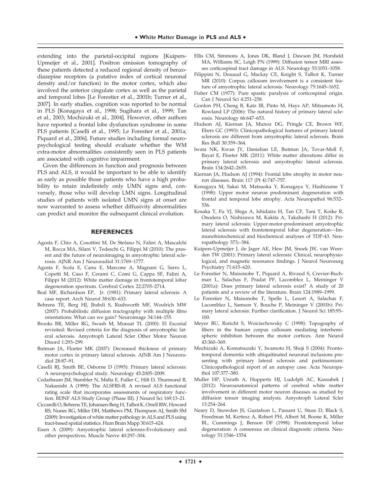extending into the parietal-occipital regions [Kuipers-Upmeijer et al., 2001]. Positron emission tomography of these patients detected a reduced regional density of benzodiazepine receptors (a putative index of cortical neuronal density and/or function) in the motor cortex, which also involved the anterior cingulate cortex as well as the parietal and temporal lobes [Le Forestier et al., 2001b; Turner et al., 2007]. In early studies, cognition was reported to be normal in PLS [Konagaya et al., 1998; Sugihara et al., 1999; Tan et al., 2003; Mochizuki et al., 2004]. However, other authors have reported a frontal lobe dysfunction syndrome in some PLS patients [Caselli et al., 1995; Le Forestier et al., 2001a; Piquard et al., 2006]. Future studies including formal neuropsychological testing should evaluate whether the WM extra-motor abnormalities consistently seen in PLS patients are associated with cognitive impairment.

Given the differences in function and prognosis between PLS and ALS, it would be important to be able to identify as early as possible those patients who have a high probability to retain indefinitely only UMN signs and, conversely, those who will develop LMN signs. Longitudinal studies of patients with isolated UMN signs at onset are now warranted to assess whether diffusivity abnormalities can predict and monitor the subsequent clinical evolution.

#### **REFERENCES**

- Agosta F, Chio A, Cosottini M, De Stefano N, Falini A, Mascalchi M, Rocca MA, Silani V, Tedeschi G, Filippi M (2010): The present and the future of neuroimaging in amyotrophic lateral sclerosis. AJNR Am J Neuroradiol 31:1769–1777.
- Agosta F, Scola E, Canu E, Marcone A, Magnani G, Sarro L, Copetti M, Caso F, Cerami C, Comi G, Cappa SF, Falini A, Filippi M (2012): White matter damage in frontotemporal lobar degeneration spectrum. Cerebral Cortex 22:2705–2714.
- Beal MF, Richardson EP, Jr. (1981): Primary lateral sclerosis: A case report. Arch Neurol 38:630–633.
- Behrens TE, Berg HJ, Jbabdi S, Rushworth MF, Woolrich MW (2007): Probabilistic diffusion tractography with multiple fibre orientations: What can we gain? Neuroimage 34:144–155.
- Brooks BR, Miller RG, Swash M, Munsat TL (2000): El Escorial revisited: Revised criteria for the diagnosis of amyotrophic lateral sclerosis. Amyotroph Lateral Scler Other Motor Neuron Disord 1:293–299.
- Butman JA, Floeter MK (2007): Decreased thickness of primary motor cortex in primary lateral sclerosis. AJNR Am J Neuroradiol 28:87–91.
- Caselli RJ, Smith BE, Osborne D (1995): Primary lateral sclerosis: A neuropsychological study. Neurology 45:2005–2009.
- Cedarbaum JM, Stambler N, Malta E, Fuller C, Hilt D, Thurmond B, Nakanishi A (1999): The ALSFRS-R: A revised ALS functional rating scale that incorporates assessments of respiratory function. BDNF ALS Study Group (Phase III). J Neurol Sci 169:13–21.
- Ciccarelli O, Behrens TE, Johansen-Berg H, Talbot K, Orrell RW, Howard RS, Nunes RG, Miller DH, Matthews PM, Thompson AJ, Smith SM (2009): Investigation of white matter pathology in ALS and PLS using tract-based spatial statistics. Hum Brain Mapp 30:615–624.
- Eisen A (2009): Amyotrophic lateral sclerosis-Evolutionary and other perspectives. Muscle Nerve 40:297–304.
- Ellis CM, Simmons A, Jones DK, Bland J, Dawson JM, Horsfield MA, Williams SC, Leigh PN (1999): Diffusion tensor MRI assesses corticospinal tract damage in ALS. Neurology 53:1051–1058.
- Filippini N, Douaud G, Mackay CE, Knight S, Talbot K, Turner MR (2010): Corpus callosum involvement is a consistent feature of amyotrophic lateral sclerosis. Neurology 75:1645–1652.
- Fisher CM (1977): Pure spastic paralysis of corticospinal origin. Can J Neurol Sci 4:251–258.
- Gordon PH, Cheng B, Katz IB, Pinto M, Hays AP, Mitsumoto H, Rowland LP (2006): The natural history of primary lateral sclerosis. Neurology 66:647–653.
- Hudson AJ, Kiernan JA, Munoz DG, Pringle CE, Brown WF, Ebers GC (1993): Clinicopathological features of primary lateral sclerosis are different from amyotrophic lateral sclerosis. Brain Res Bull 30:359–364.
- Iwata NK, Kwan JY, Danielian LE, Butman JA, Tovar-Moll F, Bayat E, Floeter MK (2011): White matter alterations differ in primary lateral sclerosis and amyotrophic lateral sclerosis. Brain 134:2642–2655.
- Kiernan JA, Hudson AJ (1994): Frontal lobe atrophy in motor neuron diseases. Brain 117 (Pt 4):747–757.
- Konagaya M, Sakai M, Matsuoka Y, Konagaya Y, Hashizume Y (1998): Upper motor neuron predominant degeneration with frontal and temporal lobe atrophy. Acta Neuropathol 96:532– 536.
- Kosaka T, Fu YJ, Shiga A, Ishidaira H, Tan CF, Tani T, Koike R, Onodera O, Nishizawa M, Kakita A, Takahashi H (2012): Primary lateral sclerosis: Upper-motor-predominant amyotrophic lateral sclerosis with frontotemporal lobar degeneration—Immunohistochemical and biochemical analyses of TDP-43. Neuropathology 373;–384.
- Kuipers-Upmeijer J, de Jager AE, Hew JM, Snoek JW, van Weerden TW (2001): Primary lateral sclerosis: Clinical, neurophysiological, and magnetic resonance findings. J Neurol Neurosurg Psychiatry 71:615–620.
- Le Forestier N, Maisonobe T, Piquard A, Rivaud S, Crevier-Buchman L, Salachas F, Pradat PF, Lacomblez L, Meininger V (2001a): Does primary lateral sclerosis exist? A study of 20 patients and a review of the literature. Brain 124:1989–1999.
- Le Forestier N, Maisonobe T, Spelle L, Lesort A, Salachas F, Lacomblez L, Samson Y, Bouche P, Meininger V (2001b): Primary lateral sclerosis: Further clarification. J Neurol Sci 185:95– 100.
- Meyer BU, Roricht S, Woiciechowsky C (1998): Topography of fibers in the human corpus callosum mediating interhemispheric inhibition between the motor cortices. Ann Neurol 43:360–369.
- Mochizuki A, Komatsuzaki Y, Iwamoto H, Shoji S (2004): Frontotemporal dementia with ubiquitinated neuronal inclusions presenting with primary lateral sclerosis and parkinsonism: Clinicopathological report of an autopsy case. Acta Neuropathol 107:377–380.
- Muller HP, Unrath A, Huppertz HJ, Ludolph AC, Kassubek J (2012): Neuroanatomical patterns of cerebral white matter involvement in different motor neuron diseases as studied by diffusion tensor imaging analysis. Amyotroph Lateral Scler 13:254–264.
- Neary D, Snowden JS, Gustafson L, Passant U, Stuss D, Black S, Freedman M, Kertesz A, Robert PH, Albert M, Boone K, Miller BL, Cummings J, Benson DF (1998): Frontotemporal lobar degeneration: A consensus on clinical diagnostic criteria. Neurology 51:1546–1554.